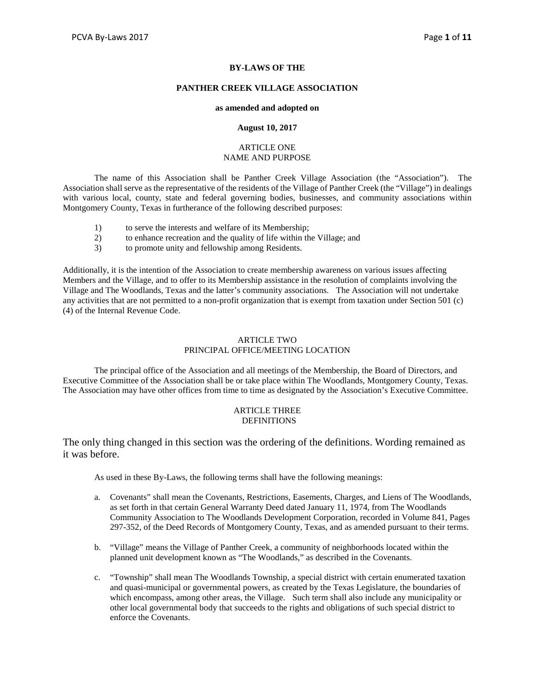## **BY-LAWS OF THE**

#### **PANTHER CREEK VILLAGE ASSOCIATION**

#### **as amended and adopted on**

#### **August 10, 2017**

#### ARTICLE ONE NAME AND PURPOSE

The name of this Association shall be Panther Creek Village Association (the "Association"). The Association shall serve as the representative of the residents of the Village of Panther Creek (the "Village") in dealings with various local, county, state and federal governing bodies, businesses, and community associations within Montgomery County, Texas in furtherance of the following described purposes:

- 1) to serve the interests and welfare of its Membership;
- 2) to enhance recreation and the quality of life within the Village; and
- 3) to promote unity and fellowship among Residents.

Additionally, it is the intention of the Association to create membership awareness on various issues affecting Members and the Village, and to offer to its Membership assistance in the resolution of complaints involving the Village and The Woodlands, Texas and the latter's community associations. The Association will not undertake any activities that are not permitted to a non-profit organization that is exempt from taxation under Section 501 (c) (4) of the Internal Revenue Code.

# ARTICLE TWO PRINCIPAL OFFICE/MEETING LOCATION

The principal office of the Association and all meetings of the Membership, the Board of Directors, and Executive Committee of the Association shall be or take place within The Woodlands, Montgomery County, Texas. The Association may have other offices from time to time as designated by the Association's Executive Committee.

## ARTICLE THREE **DEFINITIONS**

The only thing changed in this section was the ordering of the definitions. Wording remained as it was before.

As used in these By-Laws, the following terms shall have the following meanings:

- a. Covenants" shall mean the Covenants, Restrictions, Easements, Charges, and Liens of The Woodlands, as set forth in that certain General Warranty Deed dated January 11, 1974, from The Woodlands Community Association to The Woodlands Development Corporation, recorded in Volume 841, Pages 297-352, of the Deed Records of Montgomery County, Texas, and as amended pursuant to their terms.
- b. "Village" means the Village of Panther Creek, a community of neighborhoods located within the planned unit development known as "The Woodlands," as described in the Covenants.
- c. "Township" shall mean The Woodlands Township, a special district with certain enumerated taxation and quasi-municipal or governmental powers, as created by the Texas Legislature, the boundaries of which encompass, among other areas, the Village. Such term shall also include any municipality or other local governmental body that succeeds to the rights and obligations of such special district to enforce the Covenants.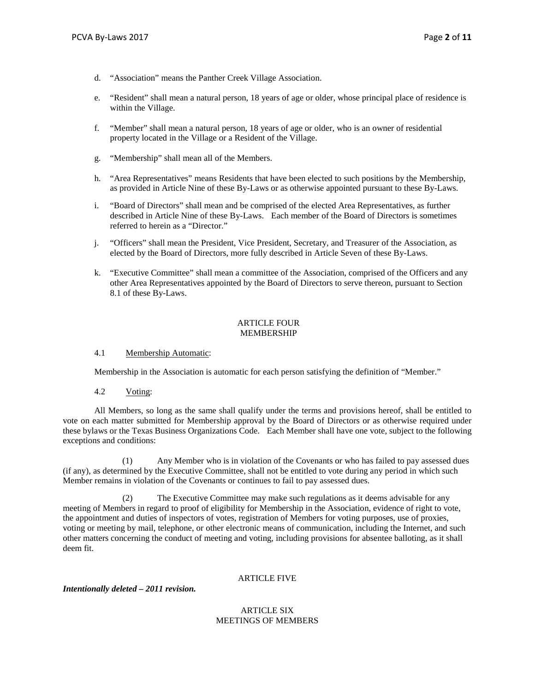- d. "Association" means the Panther Creek Village Association.
- e. "Resident" shall mean a natural person, 18 years of age or older, whose principal place of residence is within the Village.
- f. "Member" shall mean a natural person, 18 years of age or older, who is an owner of residential property located in the Village or a Resident of the Village.
- g. "Membership" shall mean all of the Members.
- h. "Area Representatives" means Residents that have been elected to such positions by the Membership, as provided in Article Nine of these By-Laws or as otherwise appointed pursuant to these By-Laws.
- i. "Board of Directors" shall mean and be comprised of the elected Area Representatives, as further described in Article Nine of these By-Laws. Each member of the Board of Directors is sometimes referred to herein as a "Director."
- j. "Officers" shall mean the President, Vice President, Secretary, and Treasurer of the Association, as elected by the Board of Directors, more fully described in Article Seven of these By-Laws.
- k. "Executive Committee" shall mean a committee of the Association, comprised of the Officers and any other Area Representatives appointed by the Board of Directors to serve thereon, pursuant to Section 8.1 of these By-Laws.

## ARTICLE FOUR MEMBERSHIP

#### 4.1 Membership Automatic:

Membership in the Association is automatic for each person satisfying the definition of "Member."

4.2 Voting:

All Members, so long as the same shall qualify under the terms and provisions hereof, shall be entitled to vote on each matter submitted for Membership approval by the Board of Directors or as otherwise required under these bylaws or the Texas Business Organizations Code. Each Member shall have one vote, subject to the following exceptions and conditions:

 (1) Any Member who is in violation of the Covenants or who has failed to pay assessed dues (if any), as determined by the Executive Committee, shall not be entitled to vote during any period in which such Member remains in violation of the Covenants or continues to fail to pay assessed dues.

 (2) The Executive Committee may make such regulations as it deems advisable for any meeting of Members in regard to proof of eligibility for Membership in the Association, evidence of right to vote, the appointment and duties of inspectors of votes, registration of Members for voting purposes, use of proxies, voting or meeting by mail, telephone, or other electronic means of communication, including the Internet, and such other matters concerning the conduct of meeting and voting, including provisions for absentee balloting, as it shall deem fit.

# ARTICLE FIVE

# *Intentionally deleted – 2011 revision.*

## ARTICLE SIX MEETINGS OF MEMBERS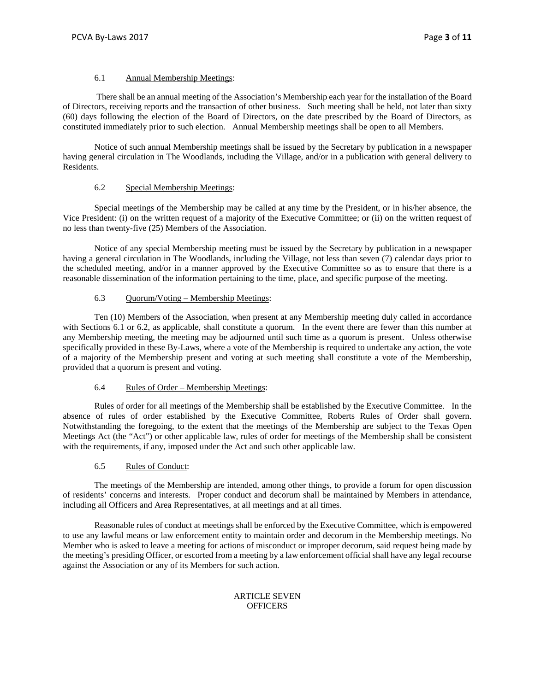### 6.1 Annual Membership Meetings:

There shall be an annual meeting of the Association's Membership each year for the installation of the Board of Directors, receiving reports and the transaction of other business. Such meeting shall be held, not later than sixty (60) days following the election of the Board of Directors, on the date prescribed by the Board of Directors, as constituted immediately prior to such election. Annual Membership meetings shall be open to all Members.

Notice of such annual Membership meetings shall be issued by the Secretary by publication in a newspaper having general circulation in The Woodlands, including the Village, and/or in a publication with general delivery to Residents.

# 6.2 Special Membership Meetings:

Special meetings of the Membership may be called at any time by the President, or in his/her absence, the Vice President: (i) on the written request of a majority of the Executive Committee; or (ii) on the written request of no less than twenty-five (25) Members of the Association.

Notice of any special Membership meeting must be issued by the Secretary by publication in a newspaper having a general circulation in The Woodlands, including the Village, not less than seven (7) calendar days prior to the scheduled meeting, and/or in a manner approved by the Executive Committee so as to ensure that there is a reasonable dissemination of the information pertaining to the time, place, and specific purpose of the meeting.

## 6.3 Quorum/Voting – Membership Meetings:

Ten (10) Members of the Association, when present at any Membership meeting duly called in accordance with Sections 6.1 or 6.2, as applicable, shall constitute a quorum. In the event there are fewer than this number at any Membership meeting, the meeting may be adjourned until such time as a quorum is present. Unless otherwise specifically provided in these By-Laws, where a vote of the Membership is required to undertake any action, the vote of a majority of the Membership present and voting at such meeting shall constitute a vote of the Membership, provided that a quorum is present and voting.

# 6.4 Rules of Order – Membership Meetings:

Rules of order for all meetings of the Membership shall be established by the Executive Committee. In the absence of rules of order established by the Executive Committee, Roberts Rules of Order shall govern. Notwithstanding the foregoing, to the extent that the meetings of the Membership are subject to the Texas Open Meetings Act (the "Act") or other applicable law, rules of order for meetings of the Membership shall be consistent with the requirements, if any, imposed under the Act and such other applicable law.

#### 6.5 Rules of Conduct:

The meetings of the Membership are intended, among other things, to provide a forum for open discussion of residents' concerns and interests. Proper conduct and decorum shall be maintained by Members in attendance, including all Officers and Area Representatives, at all meetings and at all times.

Reasonable rules of conduct at meetings shall be enforced by the Executive Committee, which is empowered to use any lawful means or law enforcement entity to maintain order and decorum in the Membership meetings. No Member who is asked to leave a meeting for actions of misconduct or improper decorum, said request being made by the meeting's presiding Officer, or escorted from a meeting by a law enforcement official shall have any legal recourse against the Association or any of its Members for such action.

## ARTICLE SEVEN **OFFICERS**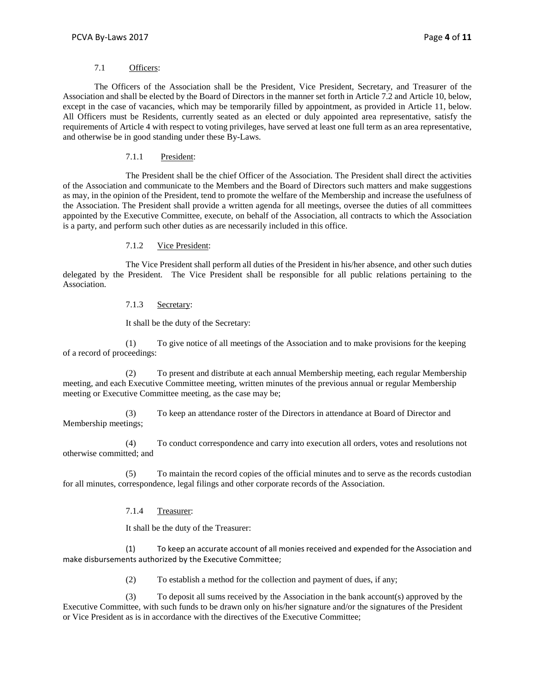### 7.1 Officers:

The Officers of the Association shall be the President, Vice President, Secretary, and Treasurer of the Association and shall be elected by the Board of Directors in the manner set forth in Article 7.2 and Article 10, below, except in the case of vacancies, which may be temporarily filled by appointment, as provided in Article 11, below. All Officers must be Residents, currently seated as an elected or duly appointed area representative, satisfy the requirements of Article 4 with respect to voting privileges, have served at least one full term as an area representative, and otherwise be in good standing under these By-Laws.

## 7.1.1 President:

The President shall be the chief Officer of the Association. The President shall direct the activities of the Association and communicate to the Members and the Board of Directors such matters and make suggestions as may, in the opinion of the President, tend to promote the welfare of the Membership and increase the usefulness of the Association. The President shall provide a written agenda for all meetings, oversee the duties of all committees appointed by the Executive Committee, execute, on behalf of the Association, all contracts to which the Association is a party, and perform such other duties as are necessarily included in this office.

## 7.1.2 Vice President:

The Vice President shall perform all duties of the President in his/her absence, and other such duties delegated by the President. The Vice President shall be responsible for all public relations pertaining to the Association.

# 7.1.3 Secretary:

It shall be the duty of the Secretary:

(1) To give notice of all meetings of the Association and to make provisions for the keeping of a record of proceedings:

(2) To present and distribute at each annual Membership meeting, each regular Membership meeting, and each Executive Committee meeting, written minutes of the previous annual or regular Membership meeting or Executive Committee meeting, as the case may be;

(3) To keep an attendance roster of the Directors in attendance at Board of Director and Membership meetings;

(4) To conduct correspondence and carry into execution all orders, votes and resolutions not otherwise committed; and

(5) To maintain the record copies of the official minutes and to serve as the records custodian for all minutes, correspondence, legal filings and other corporate records of the Association.

# 7.1.4 Treasurer:

It shall be the duty of the Treasurer:

(1) To keep an accurate account of all monies received and expended for the Association and make disbursements authorized by the Executive Committee;

(2) To establish a method for the collection and payment of dues, if any;

(3) To deposit all sums received by the Association in the bank account(s) approved by the Executive Committee, with such funds to be drawn only on his/her signature and/or the signatures of the President or Vice President as is in accordance with the directives of the Executive Committee;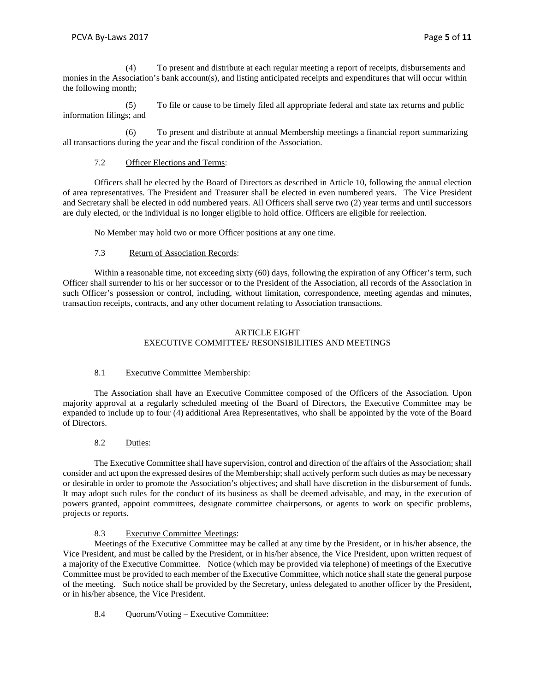(4) To present and distribute at each regular meeting a report of receipts, disbursements and monies in the Association's bank account(s), and listing anticipated receipts and expenditures that will occur within the following month;

(5) To file or cause to be timely filed all appropriate federal and state tax returns and public information filings; and

(6) To present and distribute at annual Membership meetings a financial report summarizing all transactions during the year and the fiscal condition of the Association.

# 7.2 Officer Elections and Terms:

Officers shall be elected by the Board of Directors as described in Article 10, following the annual election of area representatives. The President and Treasurer shall be elected in even numbered years. The Vice President and Secretary shall be elected in odd numbered years. All Officers shall serve two (2) year terms and until successors are duly elected, or the individual is no longer eligible to hold office. Officers are eligible for reelection.

No Member may hold two or more Officer positions at any one time.

# 7.3 Return of Association Records:

Within a reasonable time, not exceeding sixty (60) days, following the expiration of any Officer's term, such Officer shall surrender to his or her successor or to the President of the Association, all records of the Association in such Officer's possession or control, including, without limitation, correspondence, meeting agendas and minutes, transaction receipts, contracts, and any other document relating to Association transactions.

# ARTICLE EIGHT EXECUTIVE COMMITTEE/ RESONSIBILITIES AND MEETINGS

# 8.1 Executive Committee Membership:

The Association shall have an Executive Committee composed of the Officers of the Association. Upon majority approval at a regularly scheduled meeting of the Board of Directors, the Executive Committee may be expanded to include up to four (4) additional Area Representatives, who shall be appointed by the vote of the Board of Directors.

# 8.2 Duties:

The Executive Committee shall have supervision, control and direction of the affairs of the Association; shall consider and act upon the expressed desires of the Membership; shall actively perform such duties as may be necessary or desirable in order to promote the Association's objectives; and shall have discretion in the disbursement of funds. It may adopt such rules for the conduct of its business as shall be deemed advisable, and may, in the execution of powers granted, appoint committees, designate committee chairpersons, or agents to work on specific problems, projects or reports.

# 8.3 Executive Committee Meetings:

Meetings of the Executive Committee may be called at any time by the President, or in his/her absence, the Vice President, and must be called by the President, or in his/her absence, the Vice President, upon written request of a majority of the Executive Committee. Notice (which may be provided via telephone) of meetings of the Executive Committee must be provided to each member of the Executive Committee, which notice shall state the general purpose of the meeting. Such notice shall be provided by the Secretary, unless delegated to another officer by the President, or in his/her absence, the Vice President.

# 8.4 Quorum/Voting – Executive Committee: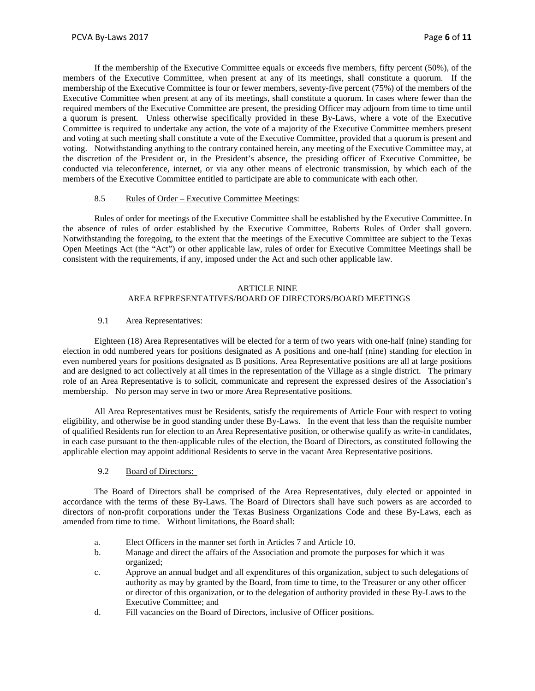If the membership of the Executive Committee equals or exceeds five members, fifty percent (50%), of the members of the Executive Committee, when present at any of its meetings, shall constitute a quorum. If the membership of the Executive Committee is four or fewer members, seventy-five percent (75%) of the members of the Executive Committee when present at any of its meetings, shall constitute a quorum. In cases where fewer than the required members of the Executive Committee are present, the presiding Officer may adjourn from time to time until a quorum is present. Unless otherwise specifically provided in these By-Laws, where a vote of the Executive Committee is required to undertake any action, the vote of a majority of the Executive Committee members present and voting at such meeting shall constitute a vote of the Executive Committee, provided that a quorum is present and voting. Notwithstanding anything to the contrary contained herein, any meeting of the Executive Committee may, at the discretion of the President or, in the President's absence, the presiding officer of Executive Committee, be conducted via teleconference, internet, or via any other means of electronic transmission, by which each of the members of the Executive Committee entitled to participate are able to communicate with each other.

## 8.5 Rules of Order – Executive Committee Meetings:

Rules of order for meetings of the Executive Committee shall be established by the Executive Committee. In the absence of rules of order established by the Executive Committee, Roberts Rules of Order shall govern. Notwithstanding the foregoing, to the extent that the meetings of the Executive Committee are subject to the Texas Open Meetings Act (the "Act") or other applicable law, rules of order for Executive Committee Meetings shall be consistent with the requirements, if any, imposed under the Act and such other applicable law.

# ARTICLE NINE AREA REPRESENTATIVES/BOARD OF DIRECTORS/BOARD MEETINGS

# 9.1 Area Representatives:

Eighteen (18) Area Representatives will be elected for a term of two years with one-half (nine) standing for election in odd numbered years for positions designated as A positions and one-half (nine) standing for election in even numbered years for positions designated as B positions. Area Representative positions are all at large positions and are designed to act collectively at all times in the representation of the Village as a single district. The primary role of an Area Representative is to solicit, communicate and represent the expressed desires of the Association's membership. No person may serve in two or more Area Representative positions.

All Area Representatives must be Residents, satisfy the requirements of Article Four with respect to voting eligibility, and otherwise be in good standing under these By-Laws. In the event that less than the requisite number of qualified Residents run for election to an Area Representative position, or otherwise qualify as write-in candidates, in each case pursuant to the then-applicable rules of the election, the Board of Directors, as constituted following the applicable election may appoint additional Residents to serve in the vacant Area Representative positions.

#### 9.2 Board of Directors:

The Board of Directors shall be comprised of the Area Representatives, duly elected or appointed in accordance with the terms of these By-Laws. The Board of Directors shall have such powers as are accorded to directors of non-profit corporations under the Texas Business Organizations Code and these By-Laws, each as amended from time to time. Without limitations, the Board shall:

- a. Elect Officers in the manner set forth in Articles 7 and Article 10.
- b. Manage and direct the affairs of the Association and promote the purposes for which it was organized;
- c. Approve an annual budget and all expenditures of this organization, subject to such delegations of authority as may by granted by the Board, from time to time, to the Treasurer or any other officer or director of this organization, or to the delegation of authority provided in these By-Laws to the Executive Committee; and
- d. Fill vacancies on the Board of Directors, inclusive of Officer positions.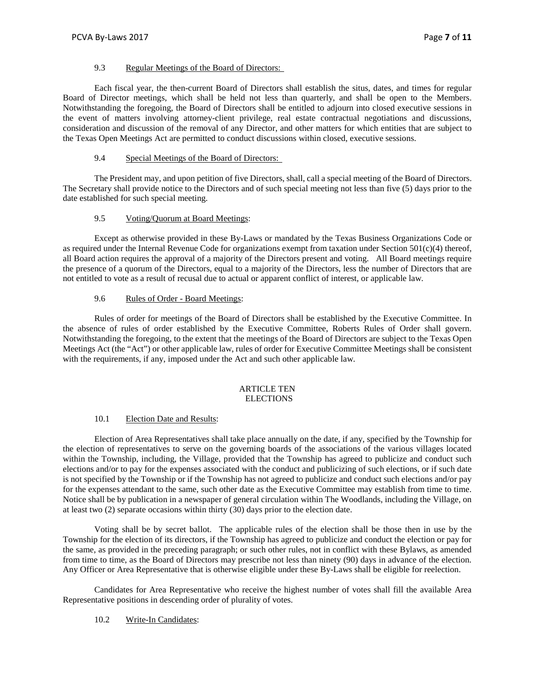## 9.3 Regular Meetings of the Board of Directors:

Each fiscal year, the then-current Board of Directors shall establish the situs, dates, and times for regular Board of Director meetings, which shall be held not less than quarterly, and shall be open to the Members. Notwithstanding the foregoing, the Board of Directors shall be entitled to adjourn into closed executive sessions in the event of matters involving attorney-client privilege, real estate contractual negotiations and discussions, consideration and discussion of the removal of any Director, and other matters for which entities that are subject to the Texas Open Meetings Act are permitted to conduct discussions within closed, executive sessions.

# 9.4 Special Meetings of the Board of Directors:

The President may, and upon petition of five Directors, shall, call a special meeting of the Board of Directors. The Secretary shall provide notice to the Directors and of such special meeting not less than five (5) days prior to the date established for such special meeting.

# 9.5 Voting/Quorum at Board Meetings:

Except as otherwise provided in these By-Laws or mandated by the Texas Business Organizations Code or as required under the Internal Revenue Code for organizations exempt from taxation under Section 501(c)(4) thereof, all Board action requires the approval of a majority of the Directors present and voting. All Board meetings require the presence of a quorum of the Directors, equal to a majority of the Directors, less the number of Directors that are not entitled to vote as a result of recusal due to actual or apparent conflict of interest, or applicable law.

## 9.6 Rules of Order - Board Meetings:

Rules of order for meetings of the Board of Directors shall be established by the Executive Committee. In the absence of rules of order established by the Executive Committee, Roberts Rules of Order shall govern. Notwithstanding the foregoing, to the extent that the meetings of the Board of Directors are subject to the Texas Open Meetings Act (the "Act") or other applicable law, rules of order for Executive Committee Meetings shall be consistent with the requirements, if any, imposed under the Act and such other applicable law.

## ARTICLE TEN **ELECTIONS**

#### 10.1 Election Date and Results:

Election of Area Representatives shall take place annually on the date, if any, specified by the Township for the election of representatives to serve on the governing boards of the associations of the various villages located within the Township, including, the Village, provided that the Township has agreed to publicize and conduct such elections and/or to pay for the expenses associated with the conduct and publicizing of such elections, or if such date is not specified by the Township or if the Township has not agreed to publicize and conduct such elections and/or pay for the expenses attendant to the same, such other date as the Executive Committee may establish from time to time. Notice shall be by publication in a newspaper of general circulation within The Woodlands, including the Village, on at least two (2) separate occasions within thirty (30) days prior to the election date.

Voting shall be by secret ballot. The applicable rules of the election shall be those then in use by the Township for the election of its directors, if the Township has agreed to publicize and conduct the election or pay for the same, as provided in the preceding paragraph; or such other rules, not in conflict with these Bylaws, as amended from time to time, as the Board of Directors may prescribe not less than ninety (90) days in advance of the election. Any Officer or Area Representative that is otherwise eligible under these By-Laws shall be eligible for reelection.

Candidates for Area Representative who receive the highest number of votes shall fill the available Area Representative positions in descending order of plurality of votes.

# 10.2 Write-In Candidates: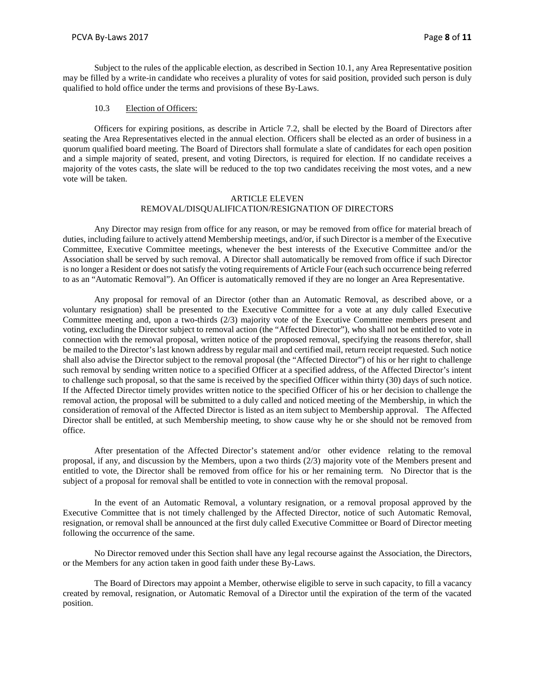Subject to the rules of the applicable election, as described in Section 10.1, any Area Representative position may be filled by a write-in candidate who receives a plurality of votes for said position, provided such person is duly qualified to hold office under the terms and provisions of these By-Laws.

#### 10.3 Election of Officers:

Officers for expiring positions, as describe in Article 7.2, shall be elected by the Board of Directors after seating the Area Representatives elected in the annual election. Officers shall be elected as an order of business in a quorum qualified board meeting. The Board of Directors shall formulate a slate of candidates for each open position and a simple majority of seated, present, and voting Directors, is required for election. If no candidate receives a majority of the votes casts, the slate will be reduced to the top two candidates receiving the most votes, and a new vote will be taken.

## ARTICLE ELEVEN REMOVAL/DISQUALIFICATION/RESIGNATION OF DIRECTORS

Any Director may resign from office for any reason, or may be removed from office for material breach of duties, including failure to actively attend Membership meetings, and/or, if such Director is a member of the Executive Committee, Executive Committee meetings, whenever the best interests of the Executive Committee and/or the Association shall be served by such removal. A Director shall automatically be removed from office if such Director is no longer a Resident or does not satisfy the voting requirements of Article Four (each such occurrence being referred to as an "Automatic Removal"). An Officer is automatically removed if they are no longer an Area Representative.

Any proposal for removal of an Director (other than an Automatic Removal, as described above, or a voluntary resignation) shall be presented to the Executive Committee for a vote at any duly called Executive Committee meeting and, upon a two-thirds (2/3) majority vote of the Executive Committee members present and voting, excluding the Director subject to removal action (the "Affected Director"), who shall not be entitled to vote in connection with the removal proposal, written notice of the proposed removal, specifying the reasons therefor, shall be mailed to the Director's last known address by regular mail and certified mail, return receipt requested. Such notice shall also advise the Director subject to the removal proposal (the "Affected Director") of his or her right to challenge such removal by sending written notice to a specified Officer at a specified address, of the Affected Director's intent to challenge such proposal, so that the same is received by the specified Officer within thirty (30) days of such notice. If the Affected Director timely provides written notice to the specified Officer of his or her decision to challenge the removal action, the proposal will be submitted to a duly called and noticed meeting of the Membership, in which the consideration of removal of the Affected Director is listed as an item subject to Membership approval. The Affected Director shall be entitled, at such Membership meeting, to show cause why he or she should not be removed from office.

After presentation of the Affected Director's statement and/or other evidence relating to the removal proposal, if any, and discussion by the Members, upon a two thirds (2/3) majority vote of the Members present and entitled to vote, the Director shall be removed from office for his or her remaining term. No Director that is the subject of a proposal for removal shall be entitled to vote in connection with the removal proposal.

In the event of an Automatic Removal, a voluntary resignation, or a removal proposal approved by the Executive Committee that is not timely challenged by the Affected Director, notice of such Automatic Removal, resignation, or removal shall be announced at the first duly called Executive Committee or Board of Director meeting following the occurrence of the same.

No Director removed under this Section shall have any legal recourse against the Association, the Directors, or the Members for any action taken in good faith under these By-Laws.

The Board of Directors may appoint a Member, otherwise eligible to serve in such capacity, to fill a vacancy created by removal, resignation, or Automatic Removal of a Director until the expiration of the term of the vacated position.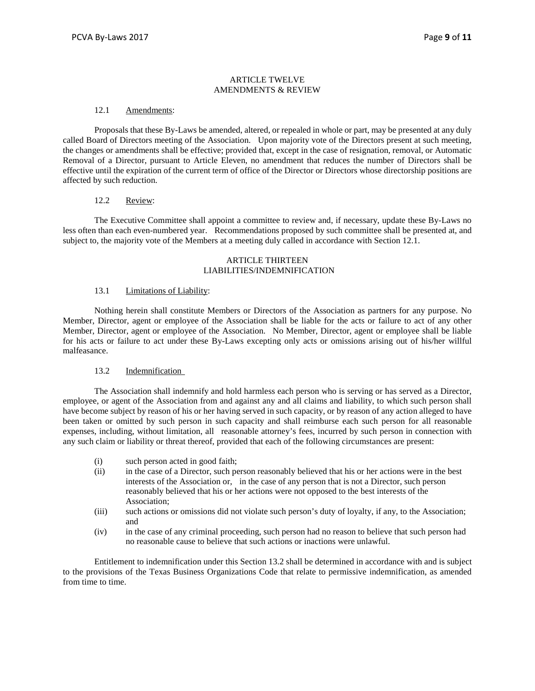#### ARTICLE TWELVE AMENDMENTS & REVIEW

### 12.1 Amendments:

Proposals that these By-Laws be amended, altered, or repealed in whole or part, may be presented at any duly called Board of Directors meeting of the Association. Upon majority vote of the Directors present at such meeting, the changes or amendments shall be effective; provided that, except in the case of resignation, removal, or Automatic Removal of a Director, pursuant to Article Eleven, no amendment that reduces the number of Directors shall be effective until the expiration of the current term of office of the Director or Directors whose directorship positions are affected by such reduction.

## 12.2 Review:

The Executive Committee shall appoint a committee to review and, if necessary, update these By-Laws no less often than each even-numbered year. Recommendations proposed by such committee shall be presented at, and subject to, the majority vote of the Members at a meeting duly called in accordance with Section 12.1.

#### ARTICLE THIRTEEN LIABILITIES/INDEMNIFICATION

#### 13.1 Limitations of Liability:

Nothing herein shall constitute Members or Directors of the Association as partners for any purpose. No Member, Director, agent or employee of the Association shall be liable for the acts or failure to act of any other Member, Director, agent or employee of the Association. No Member, Director, agent or employee shall be liable for his acts or failure to act under these By-Laws excepting only acts or omissions arising out of his/her willful malfeasance.

#### 13.2 Indemnification

The Association shall indemnify and hold harmless each person who is serving or has served as a Director, employee, or agent of the Association from and against any and all claims and liability, to which such person shall have become subject by reason of his or her having served in such capacity, or by reason of any action alleged to have been taken or omitted by such person in such capacity and shall reimburse each such person for all reasonable expenses, including, without limitation, all reasonable attorney's fees, incurred by such person in connection with any such claim or liability or threat thereof, provided that each of the following circumstances are present:

- (i) such person acted in good faith;
- (ii) in the case of a Director, such person reasonably believed that his or her actions were in the best interests of the Association or, in the case of any person that is not a Director, such person reasonably believed that his or her actions were not opposed to the best interests of the Association;
- (iii) such actions or omissions did not violate such person's duty of loyalty, if any, to the Association; and
- (iv) in the case of any criminal proceeding, such person had no reason to believe that such person had no reasonable cause to believe that such actions or inactions were unlawful.

Entitlement to indemnification under this Section 13.2 shall be determined in accordance with and is subject to the provisions of the Texas Business Organizations Code that relate to permissive indemnification, as amended from time to time.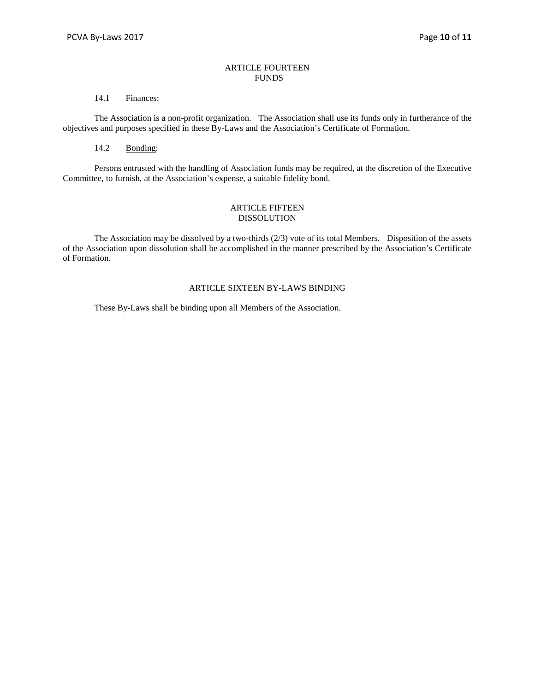## ARTICLE FOURTEEN FUNDS

## 14.1 Finances:

The Association is a non-profit organization. The Association shall use its funds only in furtherance of the objectives and purposes specified in these By-Laws and the Association's Certificate of Formation.

## 14.2 Bonding:

Persons entrusted with the handling of Association funds may be required, at the discretion of the Executive Committee, to furnish, at the Association's expense, a suitable fidelity bond.

### ARTICLE FIFTEEN DISSOLUTION

The Association may be dissolved by a two-thirds  $(2/3)$  vote of its total Members. Disposition of the assets of the Association upon dissolution shall be accomplished in the manner prescribed by the Association's Certificate of Formation.

### ARTICLE SIXTEEN BY-LAWS BINDING

These By-Laws shall be binding upon all Members of the Association.